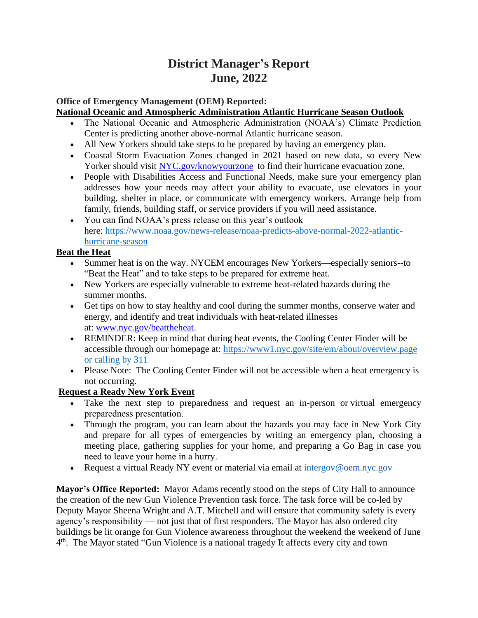# **District Manager's Report June, 2022**

# **Office of Emergency Management (OEM) Reported:**

# **National Oceanic and Atmospheric Administration Atlantic Hurricane Season Outlook**

- The National Oceanic and Atmospheric Administration (NOAA's) Climate Prediction Center is predicting another above-normal Atlantic hurricane season.
- All New Yorkers should take steps to be prepared by having an emergency plan.
- Coastal Storm Evacuation Zones changed in 2021 based on new data, so every New Yorker should visit [NYC.gov/knowyourzone](http://www.nyc.gov/knowyourzone) to find their hurricane evacuation zone.
- People with Disabilities Access and Functional Needs, make sure your emergency plan addresses how your needs may affect your ability to evacuate, use elevators in your building, shelter in place, or communicate with emergency workers. Arrange help from family, friends, building staff, or service providers if you will need assistance.
- You can find NOAA's press release on this year's outlook here: [https://www.noaa.gov/news-release/noaa-predicts-above-normal-2022-atlantic](https://www.noaa.gov/news-release/noaa-predicts-above-normal-2022-atlantic-hurricane-season)[hurricane-season](https://www.noaa.gov/news-release/noaa-predicts-above-normal-2022-atlantic-hurricane-season)

# **Beat the Heat**

- Summer heat is on the way. NYCEM encourages New Yorkers—especially seniors--to "Beat the Heat" and to take steps to be prepared for extreme heat.
- New Yorkers are especially vulnerable to extreme heat-related hazards during the summer months.
- Get tips on how to stay healthy and cool during the summer months, conserve water and energy, and identify and treat individuals with heat-related illnesses at: [www.nyc.gov/beattheheat.](http://www.nyc.gov/beattheheat)
- REMINDER: Keep in mind that during heat events, the Cooling Center Finder will be accessible through our homepage at: [https://www1.nyc.gov/site/em/about/overview.page](https://www1.nyc.gov/site/em/about/overview.page%20or%20calling%20by%20311)  [or calling by 311](https://www1.nyc.gov/site/em/about/overview.page%20or%20calling%20by%20311)
- Please Note: The Cooling Center Finder will not be accessible when a heat emergency is not occurring.

# **Request a Ready New York Event**

- Take the next step to preparedness and request an in-person or virtual emergency preparedness presentation.
- Through the program, you can learn about the hazards you may face in New York City and prepare for all types of emergencies by writing an emergency plan, choosing a meeting place, gathering supplies for your home, and preparing a Go Bag in case you need to leave your home in a hurry.
- Request a virtual Ready NY event or material via email at [intergov@oem.nyc.gov](file://///vnxfileserver/workgroup/External%20Affairs/External%20Affairs/ADMIN/Response%20Briefing%20Document/2022/intergov@oem.nyc.gov)

**Mayor's Office Reported:** Mayor Adams recently stood on the steps of City Hall to announce the creation of the new [Gun Violence Prevention task force.](https://click.everyaction.com/k/46098115/348806376/649887520?url=https%3A%2F%2Ftwitter.com%2FNYCMayorsOffice%2Fstatus%2F1532439528090259485%3Femci%3D3818c74f-b7e1-ec11-b656-281878b85110%26emdi%3Dea000000-0000-0000-0000-000000000001%26ceid%3D&data=05%7C01%7CEJackson%40cityhall.nyc.gov%7Cb621da0935ca4ebf53d108da45afb296%7C35c828166c56443bbaf68312163cadc1%7C0%7C0%7C637898918164268979%7CUnknown%7CTWFpbGZsb3d8eyJWIjoiMC4wLjAwMDAiLCJQIjoiV2luMzIiLCJBTiI6Ik1haWwiLCJXVCI6Mn0%3D%7C3000%7C%7C%7C&sdata=1NnuTlLMxz8jiNge0sPnt28dTgBejZl5scr5kjHs0J0%3D&reserved=0&nvep=ew0KICAiVGVuYW50VXJpIjogIm5ncHZhbjovL3Zhbi9FQS9FQTAwNi8xLzg2OTc2IiwNCiAgIkRpc3RyaWJ1dGlvblVuaXF1ZUlkIjogImM1NWYwMGQyLThlZTMtZWMxMS1iNjU2LTI4MTg3OGI4NTExMCIsDQogICJFbWFpbEFkZHJlc3MiOiAiZXByaW5jZUBjYjltLm9yZyINCn0%3D&hmac=51AcA2_BeY02VDbLxt8wcmsfDP4UgH_u0kWDt2daPsY=&emci=3818c74f-b7e1-ec11-b656-281878b85110&emdi=c55f00d2-8ee3-ec11-b656-281878b85110&ceid=4284574) The task force will be co-led by Deputy Mayor Sheena Wright and A.T. Mitchell and will ensure that community safety is every agency's responsibility — not just that of first responders. The Mayor has also ordered city buildings be lit orange for Gun Violence awareness throughout the weekend the weekend of June 4<sup>th</sup>. The Mayor stated "Gun Violence is a national tragedy It affects every city and town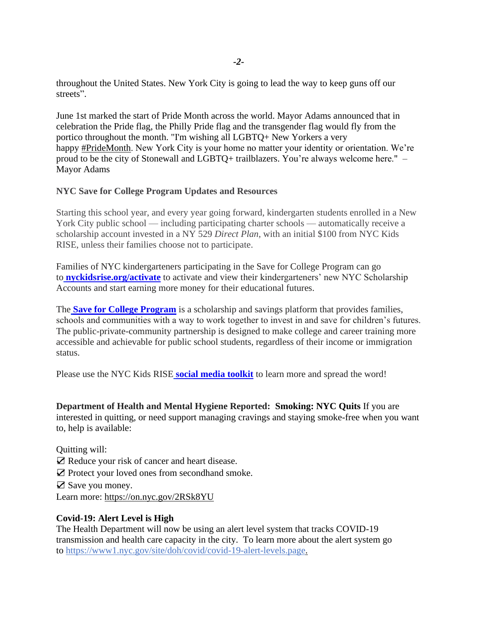throughout the United States. New York City is going to lead the way to keep guns off our streets".

June 1st marked the start of Pride Month across the world. Mayor Adams announced that in celebration the Pride flag, the Philly Pride flag and the transgender flag would fly from the portico throughout the month. "I'm wishing all LGBTQ+ New Yorkers a very happy [#PrideMonth.](https://click.everyaction.com/k/46098116/348806377/649887520?url=https%3A%2F%2Ftwitter.com%2Fhashtag%2FPrideMonth%3Fsrc%3Dhashtag_click%26emci%3D3818c74f-b7e1-ec11-b656-281878b85110%26emdi%3Dea000000-0000-0000-0000-000000000001%26ceid%3D&data=05%7C01%7CEJackson%40cityhall.nyc.gov%7Cb621da0935ca4ebf53d108da45afb296%7C35c828166c56443bbaf68312163cadc1%7C0%7C0%7C637898918164268979%7CUnknown%7CTWFpbGZsb3d8eyJWIjoiMC4wLjAwMDAiLCJQIjoiV2luMzIiLCJBTiI6Ik1haWwiLCJXVCI6Mn0%3D%7C3000%7C%7C%7C&sdata=EnEv13pmctPZ8R4Xp2ykWXujip0QV8vEVUOpjInpxAM%3D&reserved=0&nvep=ew0KICAiVGVuYW50VXJpIjogIm5ncHZhbjovL3Zhbi9FQS9FQTAwNi8xLzg2OTc2IiwNCiAgIkRpc3RyaWJ1dGlvblVuaXF1ZUlkIjogImM1NWYwMGQyLThlZTMtZWMxMS1iNjU2LTI4MTg3OGI4NTExMCIsDQogICJFbWFpbEFkZHJlc3MiOiAiZXByaW5jZUBjYjltLm9yZyINCn0%3D&hmac=51AcA2_BeY02VDbLxt8wcmsfDP4UgH_u0kWDt2daPsY=&emci=3818c74f-b7e1-ec11-b656-281878b85110&emdi=c55f00d2-8ee3-ec11-b656-281878b85110&ceid=4284574) New York City is your home no matter your identity or orientation. We're proud to be the city of Stonewall and LGBTQ+ trailblazers. You're always welcome here." – Mayor Adams

# **NYC Save for College Program Updates and Resources**

Starting this school year, and every year going forward, kindergarten students enrolled in a New York City public school — including participating charter schools — automatically receive a scholarship account invested in a NY 529 *Direct Plan*, with an initial \$100 from NYC Kids RISE, unless their families choose not to participate.

Families of NYC kindergarteners participating in the Save for College Program can go to **[nyckidsrise.org/activate](https://gcc02.safelinks.protection.outlook.com/?url=http%3A%2F%2Fnyckidsrise.org%2Factivate&data=05%7C01%7CINTERGOV%40dss.nyc.gov%7C8f0535f031b04f04082d08da3788c183%7C369ccac91d3d435bb214c86f3a380236%7C0%7C0%7C637883357749260108%7CUnknown%7CTWFpbGZsb3d8eyJWIjoiMC4wLjAwMDAiLCJQIjoiV2luMzIiLCJBTiI6Ik1haWwiLCJXVCI6Mn0%3D%7C3000%7C%7C%7C&sdata=sPYw%2B1QyHu2dcbv4iQbTujdWbnsu6CzFnQdPvXs0luY%3D&reserved=0)** to activate and view their kindergarteners' new NYC Scholarship Accounts and start earning more money for their educational futures.

Th[e](https://gcc02.safelinks.protection.outlook.com/?url=https%3A%2F%2Fnyckidsrise.org%2F&data=05%7C01%7CINTERGOV%40dss.nyc.gov%7C8f0535f031b04f04082d08da3788c183%7C369ccac91d3d435bb214c86f3a380236%7C0%7C0%7C637883357749260108%7CUnknown%7CTWFpbGZsb3d8eyJWIjoiMC4wLjAwMDAiLCJQIjoiV2luMzIiLCJBTiI6Ik1haWwiLCJXVCI6Mn0%3D%7C3000%7C%7C%7C&sdata=6l4Ox8gxmXvtP%2FriI6106iZRwjBRmeOojKTwl%2F%2FMpYM%3D&reserved=0) **[Save for College Program](https://gcc02.safelinks.protection.outlook.com/?url=https%3A%2F%2Fnyckidsrise.org%2F&data=05%7C01%7CINTERGOV%40dss.nyc.gov%7C8f0535f031b04f04082d08da3788c183%7C369ccac91d3d435bb214c86f3a380236%7C0%7C0%7C637883357749260108%7CUnknown%7CTWFpbGZsb3d8eyJWIjoiMC4wLjAwMDAiLCJQIjoiV2luMzIiLCJBTiI6Ik1haWwiLCJXVCI6Mn0%3D%7C3000%7C%7C%7C&sdata=6l4Ox8gxmXvtP%2FriI6106iZRwjBRmeOojKTwl%2F%2FMpYM%3D&reserved=0)** is a scholarship and savings platform that provides families, schools and communities with a way to work together to invest in and save for children's futures. The public-private-community partnership is designed to make college and career training more accessible and achievable for public school students, regardless of their income or immigration status.

Please use the NYC Kids RISE **[social media toolkit](https://gcc02.safelinks.protection.outlook.com/?url=https%3A%2F%2Fbit.ly%2Fnyckidsrise&data=05%7C01%7CINTERGOV%40dss.nyc.gov%7C8f0535f031b04f04082d08da3788c183%7C369ccac91d3d435bb214c86f3a380236%7C0%7C0%7C637883357749260108%7CUnknown%7CTWFpbGZsb3d8eyJWIjoiMC4wLjAwMDAiLCJQIjoiV2luMzIiLCJBTiI6Ik1haWwiLCJXVCI6Mn0%3D%7C3000%7C%7C%7C&sdata=yy9AeW9Y4tmjC%2Fqvf5xFU14iCxBra2W9YTF72ypNSpk%3D&reserved=0)** to learn more and spread the word!

**Department of Health and Mental Hygiene Reported: Smoking: NYC Quits** If you are interested in quitting, or need support managing cravings and staying smoke-free when you want to, help is available:

Quitting will: ☑️ Reduce your risk of cancer and heart disease.

☑️ Protect your loved ones from secondhand smoke.

☑️ Save you money.

Learn more: [https://on.nyc.gov/2RSk8YU](https://click.everyaction.com/k/46098127/348806388/-1886354495?nvep=ew0KICAiVGVuYW50VXJpIjogIm5ncHZhbjovL3Zhbi9FQS9FQTAwNi8xLzg2OTc2IiwNCiAgIkRpc3RyaWJ1dGlvblVuaXF1ZUlkIjogImM1NWYwMGQyLThlZTMtZWMxMS1iNjU2LTI4MTg3OGI4NTExMCIsDQogICJFbWFpbEFkZHJlc3MiOiAiZXByaW5jZUBjYjltLm9yZyINCn0%3D&hmac=51AcA2_BeY02VDbLxt8wcmsfDP4UgH_u0kWDt2daPsY=&emci=3818c74f-b7e1-ec11-b656-281878b85110&emdi=c55f00d2-8ee3-ec11-b656-281878b85110&ceid=4284574)

#### **Covid-19: Alert Level is High**

The Health Department will now be using an alert level system that tracks COVID-19 transmission and health care capacity in the city. To learn more about the alert system go to [https://www1.nyc.gov/site/doh/covid/covid-19-alert-levels.page.](https://click.everyaction.com/k/46098128/348806389/-199829468?nvep=ew0KICAiVGVuYW50VXJpIjogIm5ncHZhbjovL3Zhbi9FQS9FQTAwNi8xLzg2OTc2IiwNCiAgIkRpc3RyaWJ1dGlvblVuaXF1ZUlkIjogImM1NWYwMGQyLThlZTMtZWMxMS1iNjU2LTI4MTg3OGI4NTExMCIsDQogICJFbWFpbEFkZHJlc3MiOiAiZXByaW5jZUBjYjltLm9yZyINCn0%3D&hmac=51AcA2_BeY02VDbLxt8wcmsfDP4UgH_u0kWDt2daPsY=&emci=3818c74f-b7e1-ec11-b656-281878b85110&emdi=c55f00d2-8ee3-ec11-b656-281878b85110&ceid=4284574)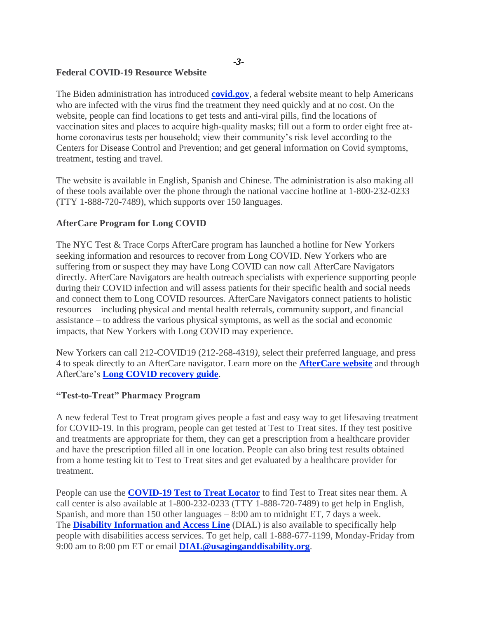#### **Federal COVID-19 Resource Website**

The Biden administration has introduced **[covid.gov](https://gcc02.safelinks.protection.outlook.com/?url=http%3A%2F%2Fcovid.gov%2F&data=05%7C01%7CINTERGOV%40dss.nyc.gov%7C8f0535f031b04f04082d08da3788c183%7C369ccac91d3d435bb214c86f3a380236%7C0%7C0%7C637883357749416344%7CUnknown%7CTWFpbGZsb3d8eyJWIjoiMC4wLjAwMDAiLCJQIjoiV2luMzIiLCJBTiI6Ik1haWwiLCJXVCI6Mn0%3D%7C3000%7C%7C%7C&sdata=TPOSXzKfZTHSD0zkkkYbXiQ8wjeKCljwCzwTRgLOBio%3D&reserved=0)**, a federal website meant to help Americans who are infected with the virus find the treatment they need quickly and at no cost. On the website, people can find locations to get tests and anti-viral pills, find the locations of vaccination sites and places to acquire high-quality masks; fill out a form to order eight free athome coronavirus tests per household; view their community's risk level according to the Centers for Disease Control and Prevention; and get general information on Covid symptoms, treatment, testing and travel.

The website is available in English, Spanish and Chinese. The administration is also making all of these tools available over the phone through the national vaccine hotline at 1-800-232-0233 (TTY 1-888-720-7489), which supports over 150 languages.

#### **AfterCare Program for Long COVID**

The NYC Test & Trace Corps AfterCare program has launched a hotline for New Yorkers seeking information and resources to recover from Long COVID. New Yorkers who are suffering from or suspect they may have Long COVID can now call AfterCare Navigators directly. AfterCare Navigators are health outreach specialists with experience supporting people during their COVID infection and will assess patients for their specific health and social needs and connect them to Long COVID resources. AfterCare Navigators connect patients to holistic resources – including physical and mental health referrals, community support, and financial assistance – to address the various physical symptoms, as well as the social and economic impacts, that New Yorkers with Long COVID may experience.

New Yorkers can call 212-COVID19 (212-268-4319*)*, select their preferred language, and press 4 to speak directly to an AfterCare navigator. Learn more on the **[AfterCare website](https://gcc02.safelinks.protection.outlook.com/?url=https%3A%2F%2Fwww.nychealthandhospitals.org%2Ftest-and-trace%2Fafter-care%2F&data=05%7C01%7CINTERGOV%40dss.nyc.gov%7C8f0535f031b04f04082d08da3788c183%7C369ccac91d3d435bb214c86f3a380236%7C0%7C0%7C637883357749416344%7CUnknown%7CTWFpbGZsb3d8eyJWIjoiMC4wLjAwMDAiLCJQIjoiV2luMzIiLCJBTiI6Ik1haWwiLCJXVCI6Mn0%3D%7C3000%7C%7C%7C&sdata=X6tYQjCcFtxi7UwKYtnudfLtHDIQeuumpoKS1Ti7AUY%3D&reserved=0)** and through AfterCare's **[Long COVID recovery guide](https://gcc02.safelinks.protection.outlook.com/?url=https%3A%2F%2Fhhinternet.blob.core.windows.net%2Fuploads%2Faftercare%2FLongCOVID_Brochure_Patient_Advocacy_Guide_Full.pdf&data=05%7C01%7CINTERGOV%40dss.nyc.gov%7C8f0535f031b04f04082d08da3788c183%7C369ccac91d3d435bb214c86f3a380236%7C0%7C0%7C637883357749416344%7CUnknown%7CTWFpbGZsb3d8eyJWIjoiMC4wLjAwMDAiLCJQIjoiV2luMzIiLCJBTiI6Ik1haWwiLCJXVCI6Mn0%3D%7C3000%7C%7C%7C&sdata=Xt4Qs9W9X%2FxZewVKVniH996%2BSXJtgRnog15jTXr5ZuA%3D&reserved=0)**.

# **"Test-to-Treat" Pharmacy Program**

A new federal Test to Treat program gives people a fast and easy way to get lifesaving treatment for COVID-19. In this program, people can get tested at Test to Treat sites. If they test positive and treatments are appropriate for them, they can get a prescription from a healthcare provider and have the prescription filled all in one location. People can also bring test results obtained from a home testing kit to Test to Treat sites and get evaluated by a healthcare provider for treatment.

People can use the **[COVID-19 Test to Treat Locator](https://gcc02.safelinks.protection.outlook.com/?url=https%3A%2F%2Ft.emailupdates.cdc.gov%2Fr%2F%3Fid%3Dh6219e986%2C15f49045%2C1644c331%26e%3DQUNTVHJhY2tpbmdJRD1VU0NEQ18xMDUyLURNNzYxMDgmQUNTVHJhY2tpbmdMYWJlbD1DT0NBJTIwTm93JTNBJTIwTmV3JTIwQ09WSUQtMTklMjBUZXN0JTIwdG8lMjBUcmVhdCUyMEluaXRpYXRpdmUlMjBhbmQlMjBMb2NhdG9yJTIwVG9vbA%26s%3Dq7OLdLM_ba0koixnpk4UiHZcrWXnhs75ph8Gd7NGxRA&data=05%7C01%7CINTERGOV%40dss.nyc.gov%7C8f0535f031b04f04082d08da3788c183%7C369ccac91d3d435bb214c86f3a380236%7C0%7C0%7C637883357749260108%7CUnknown%7CTWFpbGZsb3d8eyJWIjoiMC4wLjAwMDAiLCJQIjoiV2luMzIiLCJBTiI6Ik1haWwiLCJXVCI6Mn0%3D%7C3000%7C%7C%7C&sdata=Vz%2FftFRiFY0uaSwyxUXzV1CIL1OpBrJdxBW0jb0WfHY%3D&reserved=0)** to find Test to Treat sites near them. A call center is also available at 1-800-232-0233 (TTY 1-888-720-7489) to get help in English, Spanish, and more than 150 other languages – 8:00 am to midnight ET, 7 days a week. The **[Disability Information and Access](https://gcc02.safelinks.protection.outlook.com/?url=https%3A%2F%2Facl.gov%2FDIAL&data=05%7C01%7CINTERGOV%40dss.nyc.gov%7C8f0535f031b04f04082d08da3788c183%7C369ccac91d3d435bb214c86f3a380236%7C0%7C0%7C637883357749260108%7CUnknown%7CTWFpbGZsb3d8eyJWIjoiMC4wLjAwMDAiLCJQIjoiV2luMzIiLCJBTiI6Ik1haWwiLCJXVCI6Mn0%3D%7C3000%7C%7C%7C&sdata=TYWnfRLPjw79ZOJ%2Febe5Zit%2FzAmPpXD6sAO6ncd6Yco%3D&reserved=0) Line** (DIAL) is also available to specifically help people with disabilities access services. To get help, call 1-888-677-1199, Monday-Friday from 9:00 am to 8:00 pm ET or email **[DIAL@usaginganddisability.org](mailto:DIAL@usaginganddisability.org)**.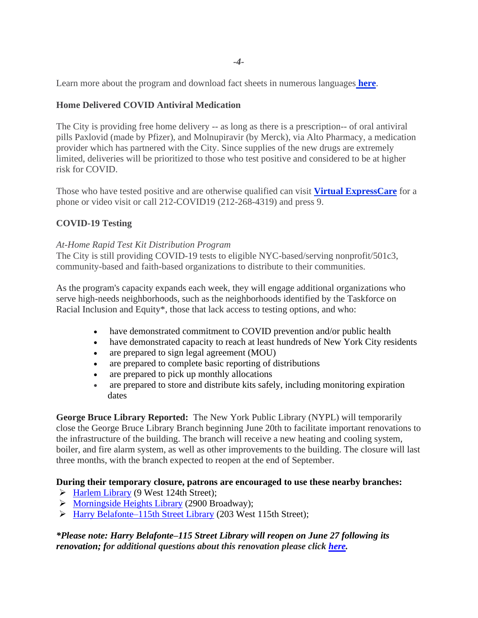Learn more about the program and download fact sheets in numerous languages **[here](https://gcc02.safelinks.protection.outlook.com/?url=https%3A%2F%2Faspr.hhs.gov%2FTestToTreat%2FPages%2Fdefault.aspx%3FACSTrackingID%3DUSCDC_1052-DM76108%26ACSTrackingLabel%3DCOCA%2525252525252520Now%3A%2525252525252520New%2525252525252520COVID-19%2525252525252520Test%2525252525252520to%2525252525252520Treat%2525252525252520Initiative%2525252525252520and%2525252525252520Locator%2525252525252520Tool%26deliveryName%3DUSCDC_1052-DM76108&data=05%7C01%7CINTERGOV%40dss.nyc.gov%7C8f0535f031b04f04082d08da3788c183%7C369ccac91d3d435bb214c86f3a380236%7C0%7C0%7C637883357749260108%7CUnknown%7CTWFpbGZsb3d8eyJWIjoiMC4wLjAwMDAiLCJQIjoiV2luMzIiLCJBTiI6Ik1haWwiLCJXVCI6Mn0%3D%7C3000%7C%7C%7C&sdata=MX3S6zzLYZmMivQcHllBfjlXceMmD7NliNHQ4KOIfDc%3D&reserved=0)**.

# **Home Delivered COVID Antiviral Medication**

The City is providing free home delivery -- as long as there is a prescription-- of oral antiviral pills Paxlovid (made by Pfizer), and Molnupiravir (by Merck), via Alto Pharmacy, a medication provider which has partnered with the City. Since supplies of the new drugs are extremely limited, deliveries will be prioritized to those who test positive and considered to be at higher risk for COVID.

Those who have tested positive and are otherwise qualified can visit **[Virtual ExpressCare](https://gcc02.safelinks.protection.outlook.com/?url=https%3A%2F%2Fexpresscare.nyc%2F&data=05%7C01%7CINTERGOV%40dss.nyc.gov%7C8f0535f031b04f04082d08da3788c183%7C369ccac91d3d435bb214c86f3a380236%7C0%7C0%7C637883357749260108%7CUnknown%7CTWFpbGZsb3d8eyJWIjoiMC4wLjAwMDAiLCJQIjoiV2luMzIiLCJBTiI6Ik1haWwiLCJXVCI6Mn0%3D%7C3000%7C%7C%7C&sdata=U%2B1yjnEZZ8gaKYHzaqXV2hXsMFCF1zjfLymQgWDZBUo%3D&reserved=0)** for a phone or video visit or call 212-COVID19 (212-268-4319) and press 9.

#### **COVID-19 Testing**

#### *At-Home Rapid Test Kit Distribution Program*

The City is still providing COVID-19 tests to eligible NYC-based/serving nonprofit/501c3, community-based and faith-based organizations to distribute to their communities.

As the program's capacity expands each week, they will engage additional organizations who serve high-needs neighborhoods, such as the neighborhoods identified by the Taskforce on Racial Inclusion and Equity\*, those that lack access to testing options, and who:

- have demonstrated commitment to COVID prevention and/or public health
- have demonstrated capacity to reach at least hundreds of New York City residents
- are prepared to sign legal agreement (MOU)
- are prepared to complete basic reporting of distributions
- are prepared to pick up monthly allocations
- are prepared to store and distribute kits safely, including monitoring expiration dates

**George Bruce Library Reported:** The New York Public Library (NYPL) will temporarily close the George Bruce Library Branch beginning June 20th to facilitate important renovations to the infrastructure of the building. The branch will receive a new heating and cooling system, boiler, and fire alarm system, as well as other improvements to the building. The closure will last three months, with the branch expected to reopen at the end of September.

#### **During their temporary closure, patrons are encouraged to use these nearby branches:**

- ➢ [Harlem Library](https://www.nypl.org/locations/harlem) (9 West 124th Street);
- ➢ [Morningside Heights Library](http://www.nypl.org/locations/morningside-heights) (2900 Broadway);
- ➢ [Harry Belafonte–115th Street Library](https://www.nypl.org/locations/115th-street) (203 West 115th Street);

#### *\*Please note: Harry Belafonte–115 Street Library will reopen on June 27 following its renovation; for additional questions about this renovation please click [here.](https://view.email.nypl.org/?qs=c8edf3af460c53090a1295a83ad61b015630dc3c18259924c9a133474fe3983b1f0a9932f4e2a227865d8f41dfd5bef07807a97d0099d3db1c7ec7d47b1140b3076e39570fc8576179d5ef4a4a83a0df)*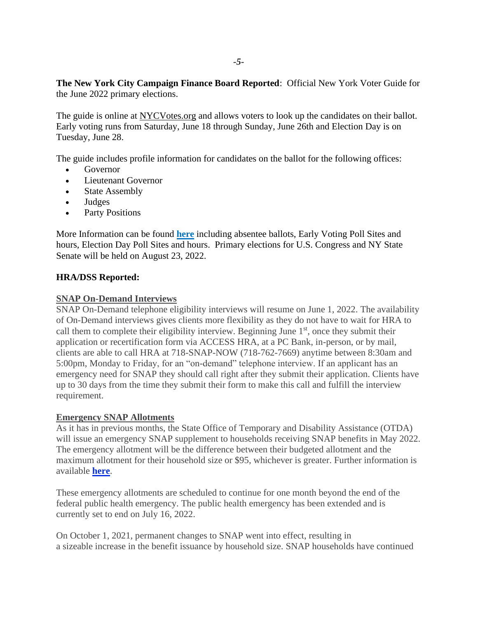**The New York City Campaign Finance Board Reported**: Official New York [Voter Guide for](https://r20.rs6.net/tn.jsp?f=001ty7g6TdAi-00ULqJlhetQORNfu9ziJPtL3BlvOjRV5btWY2ZUxU3ZEGHLaTQAnAntU6j4Sx13hxpZip8mR9Dd6KKWe9Mlqo1OlkrQMXn1kFH9zi6hFMOYAnShotLoDOgpBWPQbkI_tDNtqO2LADNrO-LClDxawroxaPkdu8ovlvH4oRHlcH0BWtlmMp8qwyoAsFWvy1aDkH8geO-y8970Q==&c=JtWeAG-ZRFZPORkn_ceNoJ5PmMvGVG45pIknkpqNwVoWYtc7XwqCmw==&ch=yrpS4a1PYxPJJhxcBgebH5SLP9AAdh49xbUVuNlcCij5RwYxdokBwA==)  the [June 2022 primary elections.](https://r20.rs6.net/tn.jsp?f=001ty7g6TdAi-00ULqJlhetQORNfu9ziJPtL3BlvOjRV5btWY2ZUxU3ZEGHLaTQAnAntU6j4Sx13hxpZip8mR9Dd6KKWe9Mlqo1OlkrQMXn1kFH9zi6hFMOYAnShotLoDOgpBWPQbkI_tDNtqO2LADNrO-LClDxawroxaPkdu8ovlvH4oRHlcH0BWtlmMp8qwyoAsFWvy1aDkH8geO-y8970Q==&c=JtWeAG-ZRFZPORkn_ceNoJ5PmMvGVG45pIknkpqNwVoWYtc7XwqCmw==&ch=yrpS4a1PYxPJJhxcBgebH5SLP9AAdh49xbUVuNlcCij5RwYxdokBwA==)

The guide is online at [NYCVotes.org](https://gcc02.safelinks.protection.outlook.com/?url=https%3A%2F%2Fr20.rs6.net%2Ftn.jsp%3Ff%3D001rBhhoNDUsnrWHN5lUSpeK6D47vpwjuullm6qto4suImEb05OuyTtpII-dHhs90_Z5gO-97Y5W3fhqlJhQKx5nc7yTbXtm-_Haw2-3V_Dw_5b0T9HbJFjQ7dWulxSY2k8TUV55vNEwAG1H-an_yhVX6IuQrEZqWEy3ge_FGUyzmKalSTUnu8Q_0jHFwDDOZPW07QNOFGhWvU2qQxgLDGvdKmWKatBrFnkd3G-2H4ZdoaN8WfJHRY9Ld2QqHmGdNcMIGQYtvimmyS2K3j3nFoubijF6YiLRfNh5KZIxcvhxlwC_wWkqFUOiRoyMDStXlBIJV3u67znQy3LQTWV9d1-jF7kWS3dOMwxuvX6QRKRNiVEbs1wHM9w0ex12kqQa6tFfI25u41KT29W6zWnAMSs1sYiAsVur5jXKfge1GjeOGYLqfg8ih86u8IsYFajGghT7gH5klP3enkQEm13MN2vnsgOrjj7ww6sfgv7Nok6IFqDe9ekx86gInA-lduZQ9gQyiPvYq8kuIIHRFBINVcruuvoqOBTWhRk024aUQLOXyAN64OSP06e2gdOY0UTOeUNjdISQuW3VUYlqMgXrDt9l7k1CBAbQHMgEybRT7nZJ1HJEcl4ftKFVbgBaB2ui1B0RKF6M-tz7wLAqz5F77HM9R0y2aAY_NhewwaddKup2ByhvvjHsw5J1fy30a948BEX2RUdPQDf1oXoYMdDXg9n5txZqKHb78zCl5x9vB-GvLqAqgH2UXmXBgkSSMnDPb9UDsOi2Z7I2iJYP1VhbX3gvswFOku_VTOQqI5DlhjF_Rjsaph6hgNvFaJtKnz9-Lg5EHBYDNKKNUJjgEhl2J7rLBvtf07MHMnu%26c%3Dg4M1zZ_GFgwMft8GYH2atVH9HfhZKjy3YprwZgZIzIDtCM49RDPeOQ%3D%3D%26ch%3DZQK__pdod-8PHkLg1xvSpyAfZS0WQnm1XT-HEeq9t0gZc-5iukZdAA%3D%3D&data=05%7C01%7Cdgaruccio%40cb.nyc.gov%7C9df0f026fcd44d1ca41508da4581d339%7C32f56fc75f814e22a95b15da66513bef%7C0%7C0%7C637898721158909199%7CUnknown%7CTWFpbGZsb3d8eyJWIjoiMC4wLjAwMDAiLCJQIjoiV2luMzIiLCJBTiI6Ik1haWwiLCJXVCI6Mn0%3D%7C3000%7C%7C%7C&sdata=laskLwlVb%2FTmxZsgwmS%2ByFnCDMGNbr89h0fXwEME7e0%3D&reserved=0) and allows voters to look up the candidates on their ballot. Early voting runs from Saturday, June 18 through Sunday, June 26th and Election Day is on Tuesday, June 28.

The guide includes profile information for candidates on the ballot for the following offices:

- Governor
- **Lieutenant Governor**
- State Assembly
- Judges
- Party Positions

[More Information](https://r20.rs6.net/tn.jsp?f=001ty7g6TdAi-00ULqJlhetQORNfu9ziJPtL3BlvOjRV5btWY2ZUxU3ZEGHLaTQAnAn7tMHV6aOq4z8cYZ46FrlSehdeyiCU0Oak8vTYvNkX68knrgy9CrbKq4h_9jGBoMW66-C7sOa-JOJs0GfLoeeMV7cjwGiEwlCB1SMsCcn7WA3EfR4-OhCvw==&c=JtWeAG-ZRFZPORkn_ceNoJ5PmMvGVG45pIknkpqNwVoWYtc7XwqCmw==&ch=yrpS4a1PYxPJJhxcBgebH5SLP9AAdh49xbUVuNlcCij5RwYxdokBwA==) can be found **[here](https://r20.rs6.net/tn.jsp?f=001ty7g6TdAi-00ULqJlhetQORNfu9ziJPtL3BlvOjRV5btWY2ZUxU3ZEGHLaTQAnAn7tMHV6aOq4z8cYZ46FrlSehdeyiCU0Oak8vTYvNkX68knrgy9CrbKq4h_9jGBoMW66-C7sOa-JOJs0GfLoeeMV7cjwGiEwlCB1SMsCcn7WA3EfR4-OhCvw==&c=JtWeAG-ZRFZPORkn_ceNoJ5PmMvGVG45pIknkpqNwVoWYtc7XwqCmw==&ch=yrpS4a1PYxPJJhxcBgebH5SLP9AAdh49xbUVuNlcCij5RwYxdokBwA==)** including absentee ballots, Early Voting Poll Sites and hours, Election Day Poll Sites and hours. Primary elections for U.S. Congress and NY State Senate will be held on August 23, 2022.

# **HRA/DSS Reported:**

#### **SNAP On-Demand Interviews**

SNAP On-Demand telephone eligibility interviews will resume on June 1, 2022. The availability of On-Demand interviews gives clients more flexibility as they do not have to wait for HRA to call them to complete their eligibility interview. Beginning June  $1<sup>st</sup>$ , once they submit their application or recertification form via ACCESS HRA, at a PC Bank, in-person, or by mail, clients are able to call HRA at 718-SNAP-NOW (718-762-7669) anytime between 8:30am and 5:00pm, Monday to Friday, for an "on-demand" telephone interview. If an applicant has an emergency need for SNAP they should call right after they submit their application. Clients have up to 30 days from the time they submit their form to make this call and fulfill the interview requirement.

#### **Emergency SNAP Allotments**

As it has in previous months, the State Office of Temporary and Disability Assistance (OTDA) will issue an emergency SNAP supplement to households receiving SNAP benefits in May 2022. The emergency allotment will be the difference between their budgeted allotment and the maximum allotment for their household size or \$95, whichever is greater. Further information is available **[here](https://otda.ny.gov/policy/gis/2021/21DC019-Attachment-1.pdf)**.

These emergency allotments are scheduled to continue for one month beyond the end of the federal public health emergency. The public health emergency has been extended and is currently set to end on July 16, 2022.

On October 1, 2021, permanent changes to SNAP went into effect, resulting in a sizeable increase in the benefit issuance by household size. SNAP households have continued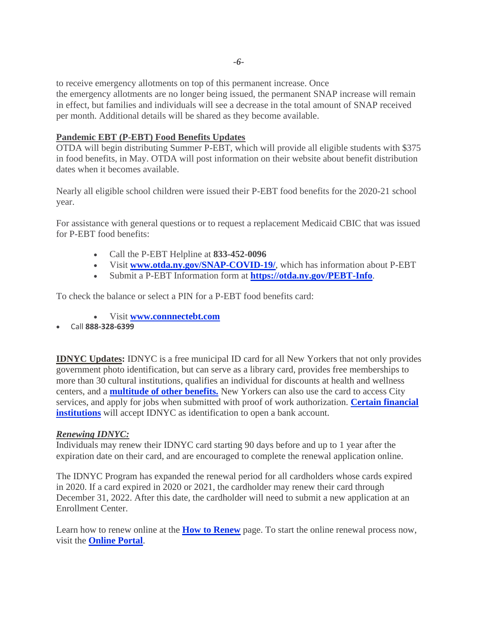to receive emergency allotments on top of this permanent increase. Once

the emergency allotments are no longer being issued, the permanent SNAP increase will remain in effect, but families and individuals will see a decrease in the total amount of SNAP received per month. Additional details will be shared as they become available.

# **Pandemic EBT (P-EBT) Food Benefits Updates**

OTDA will begin distributing Summer P-EBT, which will provide all eligible students with \$375 in food benefits, in May. OTDA will post information on their website about benefit distribution dates when it becomes available.

Nearly all eligible school children were issued their P-EBT food benefits for the 2020-21 school year.

For assistance with general questions or to request a replacement Medicaid CBIC that was issued for P-EBT food benefits:

- Call the P-EBT Helpline at **833-452-0096**
- Visit **[www.otda.ny.gov/SNAP-COVID-19/](http://www.otda.ny.gov/SNAP-COVID-19/)**, which has information about P-EBT
- Submit a P-EBT Information form at **<https://otda.ny.gov/PEBT-Info>**.

To check the balance or select a PIN for a P-EBT food benefits card:

- Visit **[www.connnectebt.com](https://gcc02.safelinks.protection.outlook.com/?url=http%253A%252F%252Fwww.connnectebt.com%252F&data=05%257C01%257Crhoadesm%2540dss.nyc.gov%257C0ddc2e39470a4ffab5ce08da3460ee3c%257C369ccac91d3d435bb214c86f3a380236%257C0%257C0%257C637879888404151294%257CUnknown%257CTWFpbGZsb3d8eyJWIjoiMC4wLjAwMDAiLCJQIjoiV2luMzIiLCJBTiI6Ik1haWwiLCJXVCI6Mn0%253D%257C3000%257C%257C%257C&sdata=FGiMnuP7X8U%252BCd4il3yhPJ3W6wYJGb7ZeTfCx2Wc%252FxA%253D&reserved=0)**
- Call **888-328-6399**

**IDNYC Updates:** IDNYC is a free municipal ID card for all New Yorkers that not only provides government photo identification, but can serve as a library card, provides free memberships to more than 30 cultural institutions, qualifies an individual for discounts at health and wellness centers, and a **[multitude of other benefits.](https://www1.nyc.gov/site/idnyc/benefits/benefits.page)** New Yorkers can also use the card to access City services, and apply for jobs when submitted with proof of work authorization. **[Certain financial](http://www1.nyc.gov/site/idnyc/benefits/banks-and-credit-unions.page)  [institutions](http://www1.nyc.gov/site/idnyc/benefits/banks-and-credit-unions.page)** will accept IDNYC as identification to open a bank account.

#### *Renewing IDNYC:*

Individuals may renew their IDNYC card starting 90 days before and up to 1 year after the expiration date on their card, and are encouraged to complete the renewal application online.

The IDNYC Program has expanded the renewal period for all cardholders whose cards expired in 2020. If a card expired in 2020 or 2021, the cardholder may renew their card through December 31, 2022. After this date, the cardholder will need to submit a new application at an Enrollment Center.

Learn how to renew online at the **[How to Renew](https://www1.nyc.gov/site/idnyc/card/renew-your-idnyc-card.page)** page. To start the online renewal process now, visit the **[Online Portal](https://gcc02.safelinks.protection.outlook.com/?url=http%3A%2F%2Fnyc.gov%2Fidnyc%2Fonlineportal&data=05%7C01%7CINTERGOV%40dss.nyc.gov%7C8f0535f031b04f04082d08da3788c183%7C369ccac91d3d435bb214c86f3a380236%7C0%7C0%7C637883357749260108%7CUnknown%7CTWFpbGZsb3d8eyJWIjoiMC4wLjAwMDAiLCJQIjoiV2luMzIiLCJBTiI6Ik1haWwiLCJXVCI6Mn0%3D%7C3000%7C%7C%7C&sdata=mFsWCFjano9K02T3CxSXiaeaad3aEmZ4En4Bl9adCiM%3D&reserved=0)**.